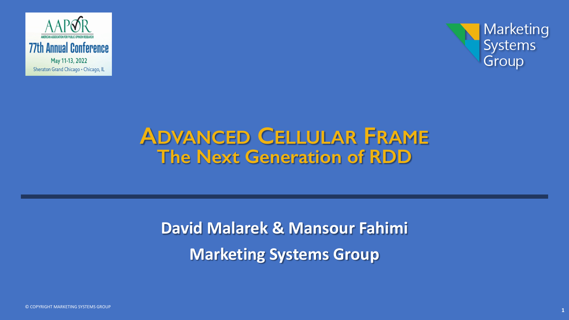



# **ADVANCED CELLULAR FRAME The Next Generation of RDD**

**David Malarek & Mansour Fahimi Marketing Systems Group**

**1**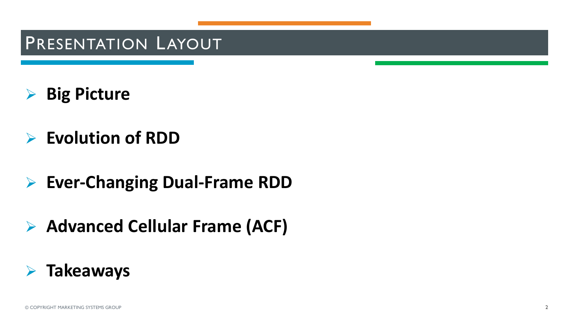### PRESENTATION LAYOUT

- Ø **Big Picture**
- Ø **Evolution of RDD**
- Ø **Ever-Changing Dual-Frame RDD**
- Ø **Advanced Cellular Frame (ACF)**

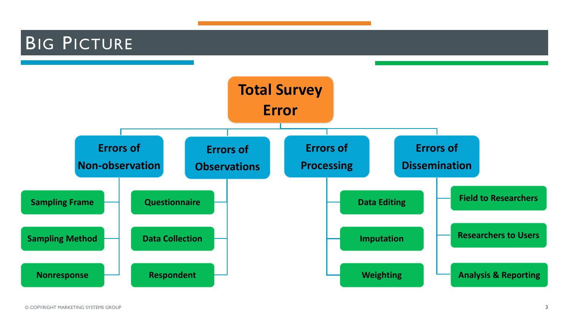## **BIG PICTURE**

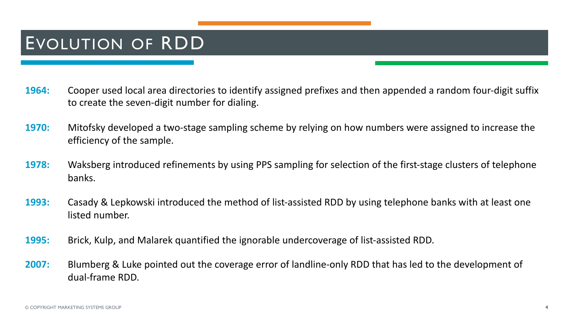#### EVOLUTION OF RDD

- **1964:** Cooper used local area directories to identify assigned prefixes and then appended a random four-digit suffix to create the seven-digit number for dialing.
- **1970:** Mitofsky developed a two-stage sampling scheme by relying on how numbers were assigned to increase the efficiency of the sample.
- **1978:** Waksberg introduced refinements by using PPS sampling for selection of the first-stage clusters of telephone banks.
- **1993:** Casady & Lepkowski introduced the method of list-assisted RDD by using telephone banks with at least one listed number.
- **1995:** Brick, Kulp, and Malarek quantified the ignorable undercoverage of list-assisted RDD.
- **2007:** Blumberg & Luke pointed out the coverage error of landline-only RDD that has led to the development of dual-frame RDD.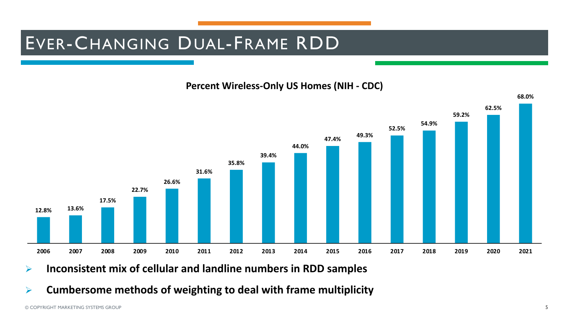### EVER-CHANGING DUAL-FRAME RDD

#### **Percent Wireless-Only US Homes (NIH - CDC)**



Ø **Inconsistent mix of cellular and landline numbers in RDD samples**

Ø **Cumbersome methods of weighting to deal with frame multiplicity**

**68.0%**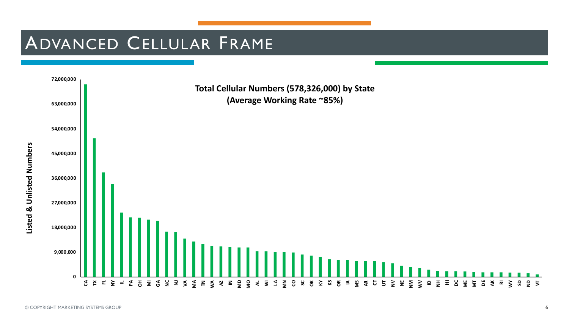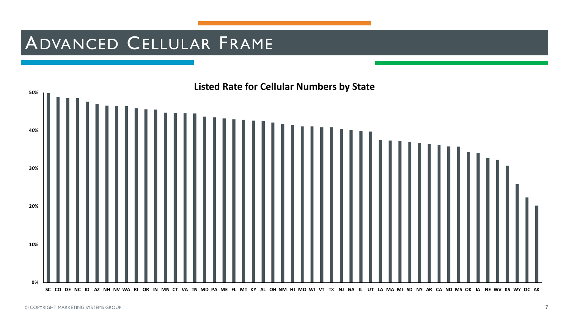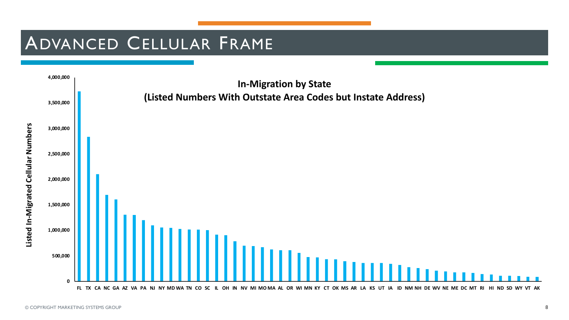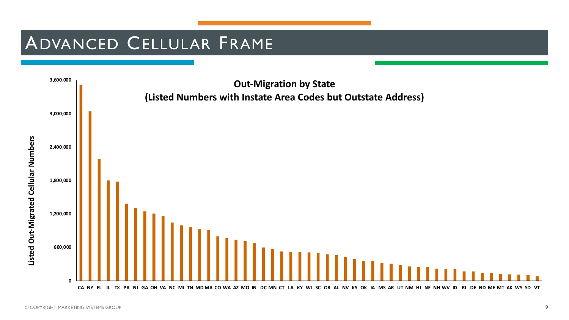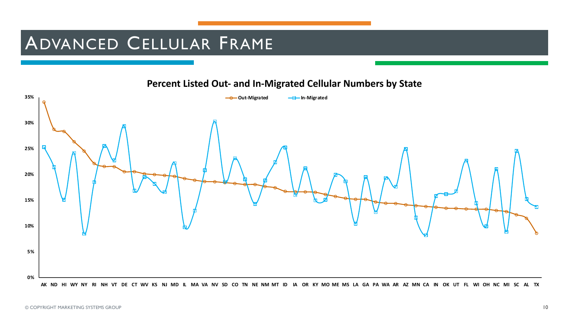

#### **Percent Listed Out- and In-Migrated Cellular Numbers by State**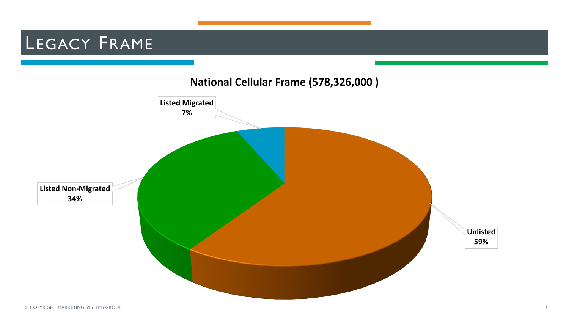# LEGACY FRAME

**National Cellular Frame (578,326,000 )**

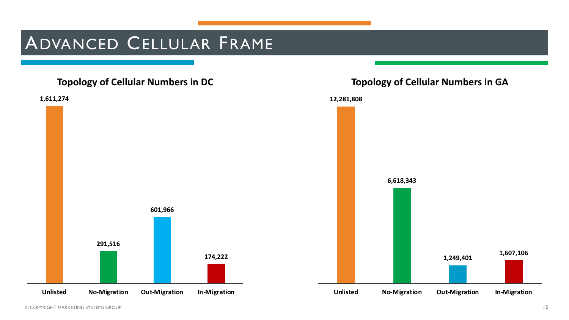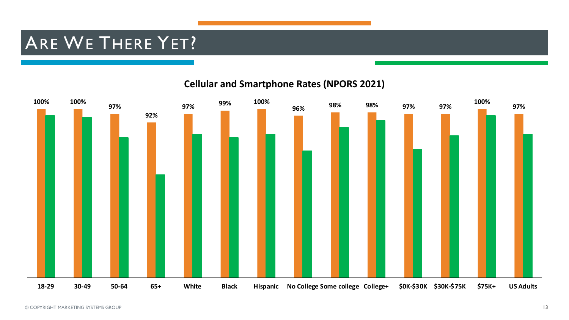### ARE WE THERE YET?



#### **Cellular and Smartphone Rates (NPORS 2021)**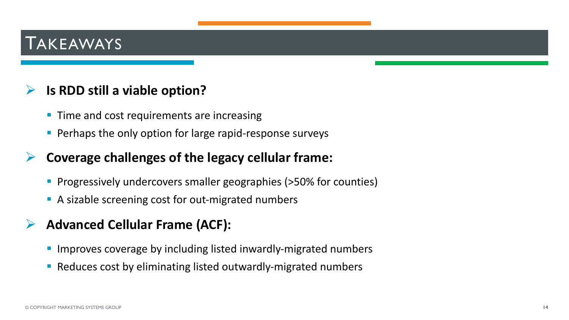#### TAKEAWAYS

#### Ø **Is RDD still a viable option?**

- Time and cost requirements are increasing
- Perhaps the only option for large rapid-response surveys

#### Ø **Coverage challenges of the legacy cellular frame:**

- Progressively undercovers smaller geographies (>50% for counties)
- A sizable screening cost for out-migrated numbers
- Ø **Advanced Cellular Frame (ACF):**
	- Improves coverage by including listed inwardly-migrated numbers
	- Reduces cost by eliminating listed outwardly-migrated numbers